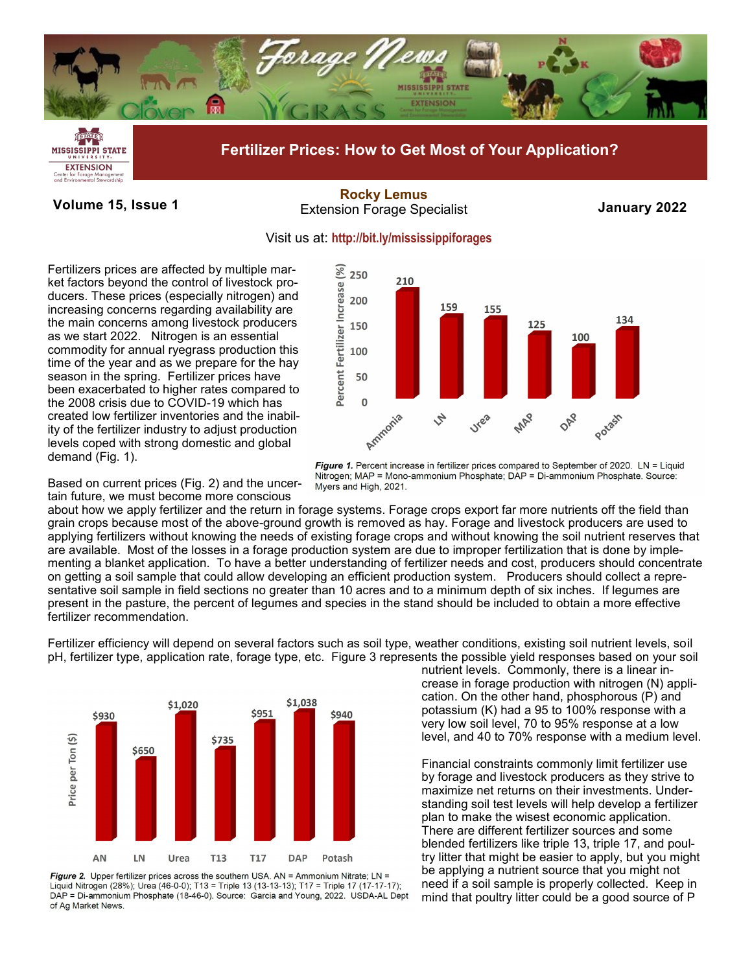

Forage Manage<br>Inmental Stewar

**Volume 15, Issue 1 January 2022** Extension Forage Specialist **[Rocky Lemus](mailto:Rocky.Lemus@msstate.edu?subject=Forage%20News:%20Janaury%202011)**



Fertilizers prices are affected by multiple market factors beyond the control of livestock producers. These prices (especially nitrogen) and increasing concerns regarding availability are the main concerns among livestock producers as we start 2022. Nitrogen is an essential commodity for annual ryegrass production this time of the year and as we prepare for the hay season in the spring. Fertilizer prices have been exacerbated to higher rates compared to the 2008 crisis due to COVID-19 which has created low fertilizer inventories and the inability of the fertilizer industry to adjust production levels coped with strong domestic and global demand (Fig. 1).

Based on current prices (Fig. 2) and the uncertain future, we must become more conscious

about how we apply fertilizer and the return in forage systems. Forage crops export far more nutrients off the field than grain crops because most of the above-ground growth is removed as hay. Forage and livestock producers are used to applying fertilizers without knowing the needs of existing forage crops and without knowing the soil nutrient reserves that are available. Most of the losses in a forage production system are due to improper fertilization that is done by implementing a blanket application. To have a better understanding of fertilizer needs and cost, producers should concentrate on getting a soil sample that could allow developing an efficient production system. Producers should collect a representative soil sample in field sections no greater than 10 acres and to a minimum depth of six inches. If legumes are present in the pasture, the percent of legumes and species in the stand should be included to obtain a more effective fertilizer recommendation.

Fertilizer efficiency will depend on several factors such as soil type, weather conditions, existing soil nutrient levels, soil pH, fertilizer type, application rate, forage type, etc. Figure 3 represents the possible yield responses based on your soil



Figure 2. Upper fertilizer prices across the southern USA. AN = Ammonium Nitrate;  $LN =$ Liquid Nitrogen (28%); Urea (46-0-0); T13 = Triple 13 (13-13-13); T17 = Triple 17 (17-17-17); DAP = Di-ammonium Phosphate (18-46-0). Source: Garcia and Young, 2022. USDA-AL Dept of Ag Market News.

nutrient levels. Commonly, there is a linear increase in forage production with nitrogen (N) application. On the other hand, phosphorous (P) and potassium (K) had a 95 to 100% response with a very low soil level, 70 to 95% response at a low level, and 40 to 70% response with a medium level.

Financial constraints commonly limit fertilizer use by forage and livestock producers as they strive to maximize net returns on their investments. Understanding soil test levels will help develop a fertilizer plan to make the wisest economic application. There are different fertilizer sources and some blended fertilizers like triple 13, triple 17, and poultry litter that might be easier to apply, but you might be applying a nutrient source that you might not need if a soil sample is properly collected. Keep in mind that poultry litter could be a good source of P



Figure 1. Percent increase in fertilizer prices compared to September of 2020. LN = Liquid Nitrogen; MAP = Mono-ammonium Phosphate; DAP = Di-ammonium Phosphate. Source: Myers and High, 2021.